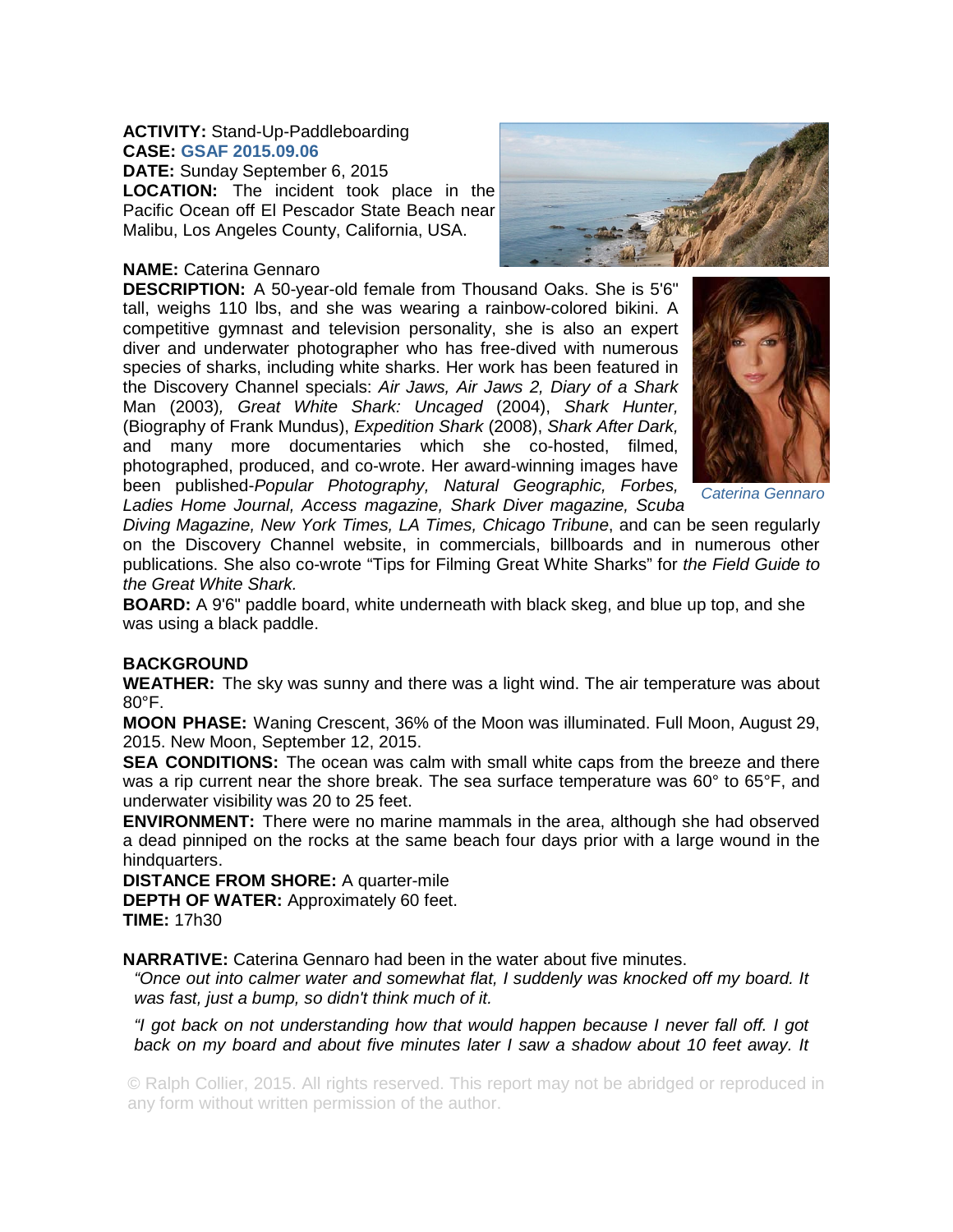## **ACTIVITY:** Stand-Up-Paddleboarding **CASE: GSAF 2015.09.06**

**DATE:** Sunday September 6, 2015 **LOCATION:** The incident took place in the Pacific Ocean off El Pescador State Beach near Malibu, Los Angeles County, California, USA.

## **NAME:** Caterina Gennaro

**DESCRIPTION:** A 50-year-old female from Thousand Oaks. She is 5'6" tall, weighs 110 lbs, and she was wearing a rainbow-colored bikini. A competitive gymnast and television personality, she is also an expert diver and underwater photographer who has free-dived with numerous species of sharks, including white sharks. Her work has been featured in the Discovery Channel specials: *Air Jaws, Air Jaws 2, Diary of a Shark* Man (2003)*, Great White Shark: Uncaged* (2004), *Shark Hunter,*  (Biography of Frank Mundus), *Expedition Shark* (2008), *Shark After Dark,*  and many more documentaries which she co-hosted, filmed, photographed, produced, and co-wrote. Her award-winning images have been published-*Popular Photography, Natural Geographic, Forbes, Ladies Home Journal, Access magazine, Shark Diver magazine, Scuba* 



*Caterina Gennaro* 

*Diving Magazine, New York Times, LA Times, Chicago Tribune*, and can be seen regularly on the Discovery Channel website, in commercials, billboards and in numerous other publications. She also co-wrote "Tips for Filming Great White Sharks" for *the Field Guide to the Great White Shark.*

**BOARD:** A 9'6" paddle board, white underneath with black skeg, and blue up top, and she was using a black paddle.

## **BACKGROUND**

**WEATHER:** The sky was sunny and there was a light wind. The air temperature was about 80°F.

**MOON PHASE:** Waning Crescent, 36% of the Moon was illuminated. Full Moon, August 29, 2015. New Moon, September 12, 2015.

**SEA CONDITIONS:** The ocean was calm with small white caps from the breeze and there was a rip current near the shore break. The sea surface temperature was 60° to 65°F, and underwater visibility was 20 to 25 feet.

**ENVIRONMENT:** There were no marine mammals in the area, although she had observed a dead pinniped on the rocks at the same beach four days prior with a large wound in the hindquarters.

**DISTANCE FROM SHORE:** A quarter-mile

**DEPTH OF WATER:** Approximately 60 feet.

**TIME:** 17h30

**NARRATIVE:** Caterina Gennaro had been in the water about five minutes.

*"Once out into calmer water and somewhat flat, I suddenly was knocked off my board. It was fast, just a bump, so didn't think much of it.* 

*"I got back on not understanding how that would happen because I never fall off. I got back on my board and about five minutes later I saw a shadow about 10 feet away. It* 

© Ralph Collier, 2015. All rights reserved. This report may not be abridged or reproduced in any form without written permission of the author.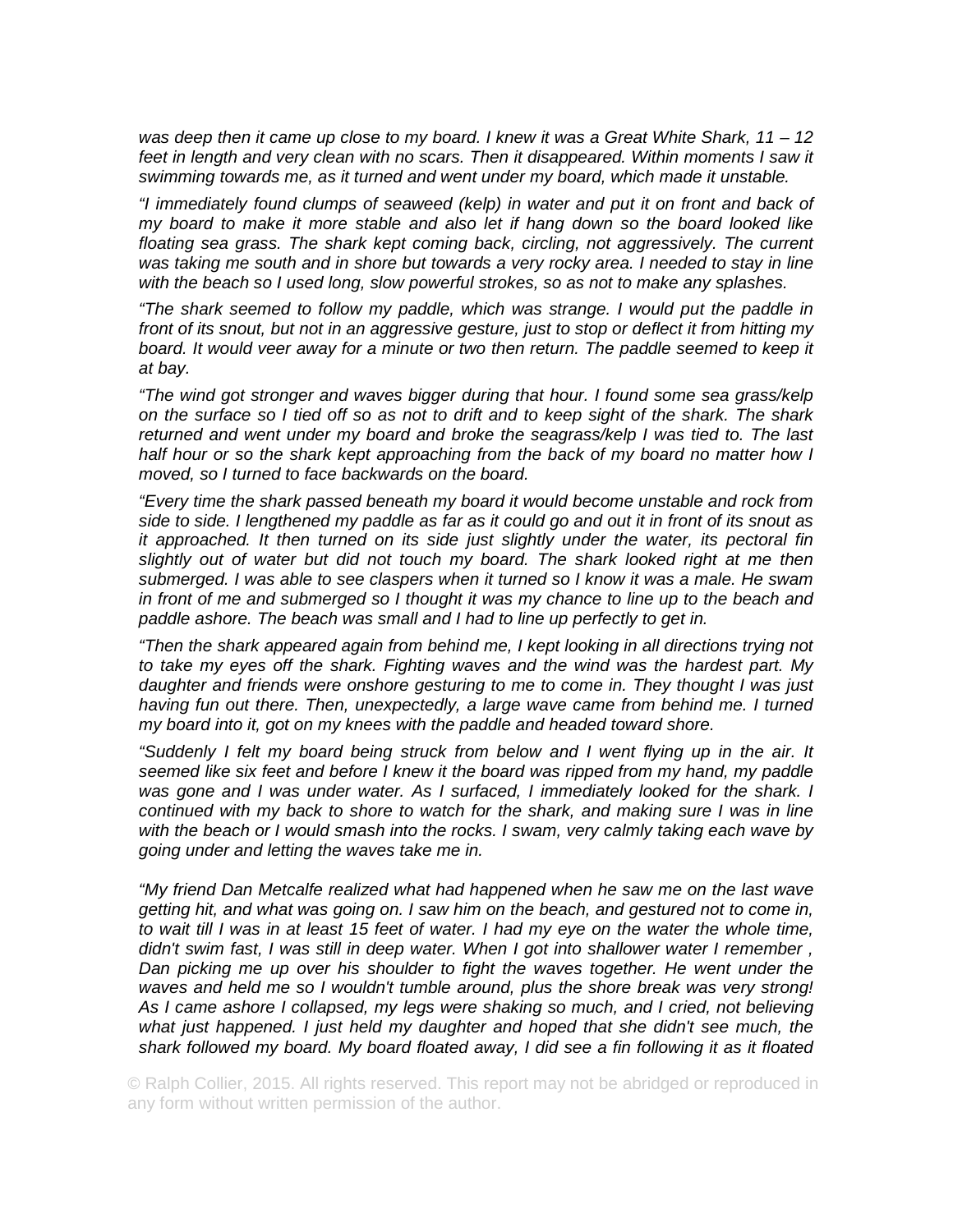*was deep then it came up close to my board. I knew it was a Great White Shark, 11 – 12*  feet in length and very clean with no scars. Then it disappeared. Within moments I saw it *swimming towards me, as it turned and went under my board, which made it unstable.* 

*"I immediately found clumps of seaweed (kelp) in water and put it on front and back of my board to make it more stable and also let if hang down so the board looked like*  floating sea grass. The shark kept coming back, circling, not aggressively. The current *was taking me south and in shore but towards a very rocky area. I needed to stay in line with the beach so I used long, slow powerful strokes, so as not to make any splashes.* 

*"The shark seemed to follow my paddle, which was strange. I would put the paddle in front of its snout, but not in an aggressive gesture, just to stop or deflect it from hitting my board. It would veer away for a minute or two then return. The paddle seemed to keep it at bay.* 

*"The wind got stronger and waves bigger during that hour. I found some sea grass/kelp on the surface so I tied off so as not to drift and to keep sight of the shark. The shark returned and went under my board and broke the seagrass/kelp I was tied to. The last half hour or so the shark kept approaching from the back of my board no matter how I moved, so I turned to face backwards on the board.* 

*"Every time the shark passed beneath my board it would become unstable and rock from side to side. I lengthened my paddle as far as it could go and out it in front of its snout as it approached. It then turned on its side just slightly under the water, its pectoral fin slightly out of water but did not touch my board. The shark looked right at me then submerged. I was able to see claspers when it turned so I know it was a male. He swam in front of me and submerged so I thought it was my chance to line up to the beach and paddle ashore. The beach was small and I had to line up perfectly to get in.* 

*"Then the shark appeared again from behind me, I kept looking in all directions trying not to take my eyes off the shark. Fighting waves and the wind was the hardest part. My daughter and friends were onshore gesturing to me to come in. They thought I was just*  having fun out there. Then, unexpectedly, a large wave came from behind me. I turned *my board into it, got on my knees with the paddle and headed toward shore.* 

*"Suddenly I felt my board being struck from below and I went flying up in the air. It seemed like six feet and before I knew it the board was ripped from my hand, my paddle was gone and I was under water. As I surfaced, I immediately looked for the shark. I continued with my back to shore to watch for the shark, and making sure I was in line with the beach or I would smash into the rocks. I swam, very calmly taking each wave by going under and letting the waves take me in.* 

*"My friend Dan Metcalfe realized what had happened when he saw me on the last wave getting hit, and what was going on. I saw him on the beach, and gestured not to come in, to wait till I was in at least 15 feet of water. I had my eye on the water the whole time, didn't swim fast, I was still in deep water. When I got into shallower water I remember ,*  Dan picking me up over his shoulder to fight the waves together. He went under the *waves and held me so I wouldn't tumble around, plus the shore break was very strong! As I came ashore I collapsed, my legs were shaking so much, and I cried, not believing*  what just happened. I just held my daughter and hoped that she didn't see much, the *shark followed my board. My board floated away, I did see a fin following it as it floated* 

© Ralph Collier, 2015. All rights reserved. This report may not be abridged or reproduced in any form without written permission of the author.